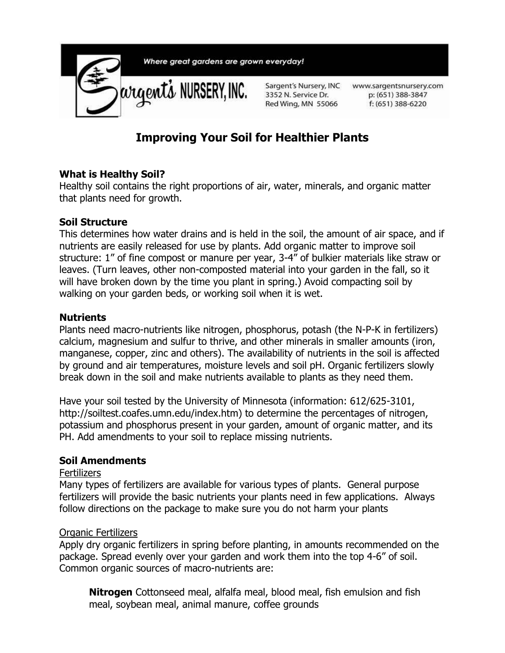

# **Improving Your Soil for Healthier Plants**

#### **What is Healthy Soil?**

Healthy soil contains the right proportions of air, water, minerals, and organic matter that plants need for growth.

#### **Soil Structure**

This determines how water drains and is held in the soil, the amount of air space, and if nutrients are easily released for use by plants. Add organic matter to improve soil structure: 1" of fine compost or manure per year, 3-4" of bulkier materials like straw or leaves. (Turn leaves, other non-composted material into your garden in the fall, so it will have broken down by the time you plant in spring.) Avoid compacting soil by walking on your garden beds, or working soil when it is wet.

#### **Nutrients**

Plants need macro-nutrients like nitrogen, phosphorus, potash (the N-P-K in fertilizers) calcium, magnesium and sulfur to thrive, and other minerals in smaller amounts (iron, manganese, copper, zinc and others). The availability of nutrients in the soil is affected by ground and air temperatures, moisture levels and soil pH. Organic fertilizers slowly break down in the soil and make nutrients available to plants as they need them.

Have your soil tested by the University of Minnesota (information: 612/625-3101, http://soiltest.coafes.umn.edu/index.htm) to determine the percentages of nitrogen, potassium and phosphorus present in your garden, amount of organic matter, and its PH. Add amendments to your soil to replace missing nutrients.

#### **Soil Amendments**

#### **Fertilizers**

Many types of fertilizers are available for various types of plants. General purpose fertilizers will provide the basic nutrients your plants need in few applications. Always follow directions on the package to make sure you do not harm your plants

#### Organic Fertilizers

Apply dry organic fertilizers in spring before planting, in amounts recommended on the package. Spread evenly over your garden and work them into the top 4-6" of soil. Common organic sources of macro-nutrients are:

**Nitrogen** Cottonseed meal, alfalfa meal, blood meal, fish emulsion and fish meal, soybean meal, animal manure, coffee grounds